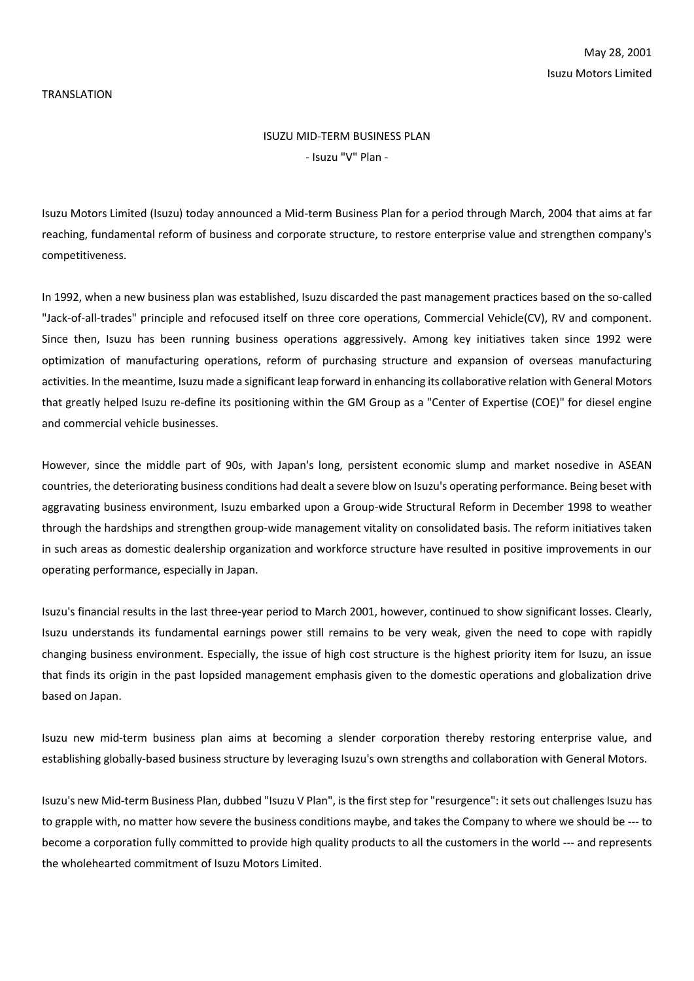#### TRANSLATION

# ISUZU MID-TERM BUSINESS PLAN - Isuzu "V" Plan -

Isuzu Motors Limited (Isuzu) today announced a Mid-term Business Plan for a period through March, 2004 that aims at far reaching, fundamental reform of business and corporate structure, to restore enterprise value and strengthen company's competitiveness.

In 1992, when a new business plan was established, Isuzu discarded the past management practices based on the so-called "Jack-of-all-trades" principle and refocused itself on three core operations, Commercial Vehicle(CV), RV and component. Since then, Isuzu has been running business operations aggressively. Among key initiatives taken since 1992 were optimization of manufacturing operations, reform of purchasing structure and expansion of overseas manufacturing activities. In the meantime, Isuzu made a significant leap forward in enhancing its collaborative relation with General Motors that greatly helped Isuzu re-define its positioning within the GM Group as a "Center of Expertise (COE)" for diesel engine and commercial vehicle businesses.

However, since the middle part of 90s, with Japan's long, persistent economic slump and market nosedive in ASEAN countries, the deteriorating business conditions had dealt a severe blow on Isuzu's operating performance. Being beset with aggravating business environment, Isuzu embarked upon a Group-wide Structural Reform in December 1998 to weather through the hardships and strengthen group-wide management vitality on consolidated basis. The reform initiatives taken in such areas as domestic dealership organization and workforce structure have resulted in positive improvements in our operating performance, especially in Japan.

Isuzu's financial results in the last three-year period to March 2001, however, continued to show significant losses. Clearly, Isuzu understands its fundamental earnings power still remains to be very weak, given the need to cope with rapidly changing business environment. Especially, the issue of high cost structure is the highest priority item for Isuzu, an issue that finds its origin in the past lopsided management emphasis given to the domestic operations and globalization drive based on Japan.

Isuzu new mid-term business plan aims at becoming a slender corporation thereby restoring enterprise value, and establishing globally-based business structure by leveraging Isuzu's own strengths and collaboration with General Motors.

Isuzu's new Mid-term Business Plan, dubbed "Isuzu V Plan", is the first step for "resurgence": it sets out challenges Isuzu has to grapple with, no matter how severe the business conditions maybe, and takes the Company to where we should be --- to become a corporation fully committed to provide high quality products to all the customers in the world --- and represents the wholehearted commitment of Isuzu Motors Limited.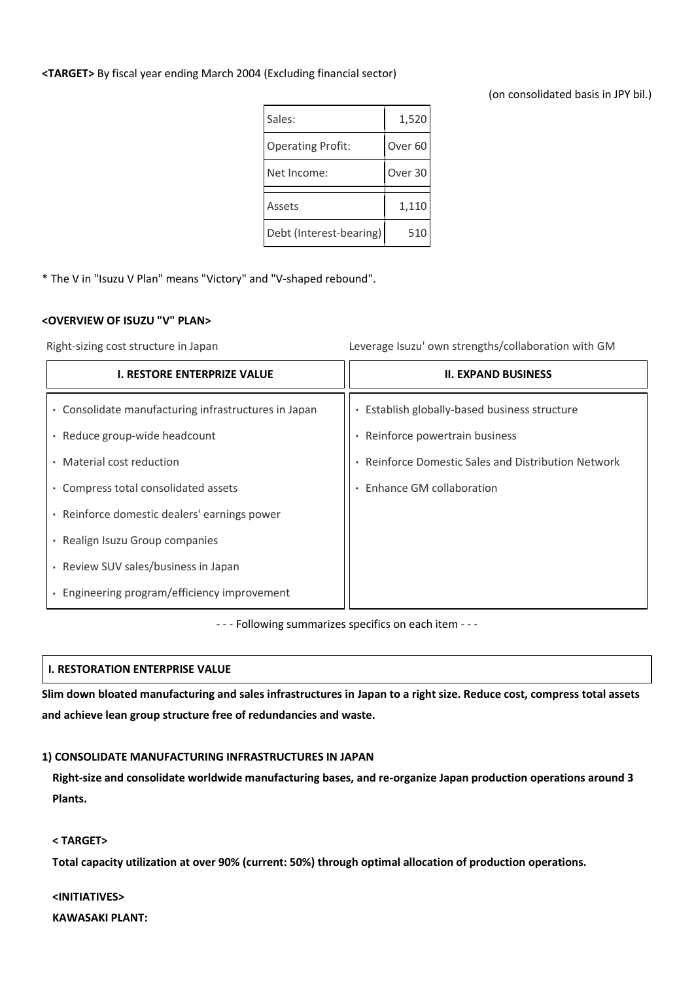## **<TARGET>** By fiscal year ending March 2004 (Excluding financial sector)

## (on consolidated basis in JPY bil.)

| Sales:                   | 1,520              |
|--------------------------|--------------------|
| <b>Operating Profit:</b> | Over <sub>60</sub> |
| Net Income:              | Over <sub>30</sub> |
|                          |                    |
| Assets                   | 1,110              |
| Debt (Interest-bearing)  | 510                |

\* The V in "Isuzu V Plan" means "Victory" and "V-shaped rebound".

### **<OVERVIEW OF ISUZU "V" PLAN>**

Right-sizing cost structure in Japan Leverage Isuzu' own strengths/collaboration with GM

| <b>I. RESTORE ENTERPRIZE VALUE</b>                      | <b>II. EXPAND BUSINESS</b>                        |
|---------------------------------------------------------|---------------------------------------------------|
| Consolidate manufacturing infrastructures in Japan<br>٠ | Establish globally-based business structure       |
| Reduce group-wide headcount                             | Reinforce powertrain business                     |
| Material cost reduction<br>$\sim$                       | Reinforce Domestic Sales and Distribution Network |
| Compress total consolidated assets                      | Enhance GM collaboration                          |
| Reinforce domestic dealers' earnings power<br>٠         |                                                   |
| Realign Isuzu Group companies<br>٠.                     |                                                   |
| Review SUV sales/business in Japan<br>٠                 |                                                   |
| Engineering program/efficiency improvement              |                                                   |

- - - Following summarizes specifics on each item - - -

## **I. RESTORATION ENTERPRISE VALUE**

**Slim down bloated manufacturing and sales infrastructures in Japan to a right size. Reduce cost, compress total assets and achieve lean group structure free of redundancies and waste.**

## **1) CONSOLIDATE MANUFACTURING INFRASTRUCTURES IN JAPAN**

**Right-size and consolidate worldwide manufacturing bases, and re-organize Japan production operations around 3 Plants.**

## **< TARGET>**

**Total capacity utilization at over 90% (current: 50%) through optimal allocation of production operations.**

## **<INITIATIVES>**

**KAWASAKI PLANT:**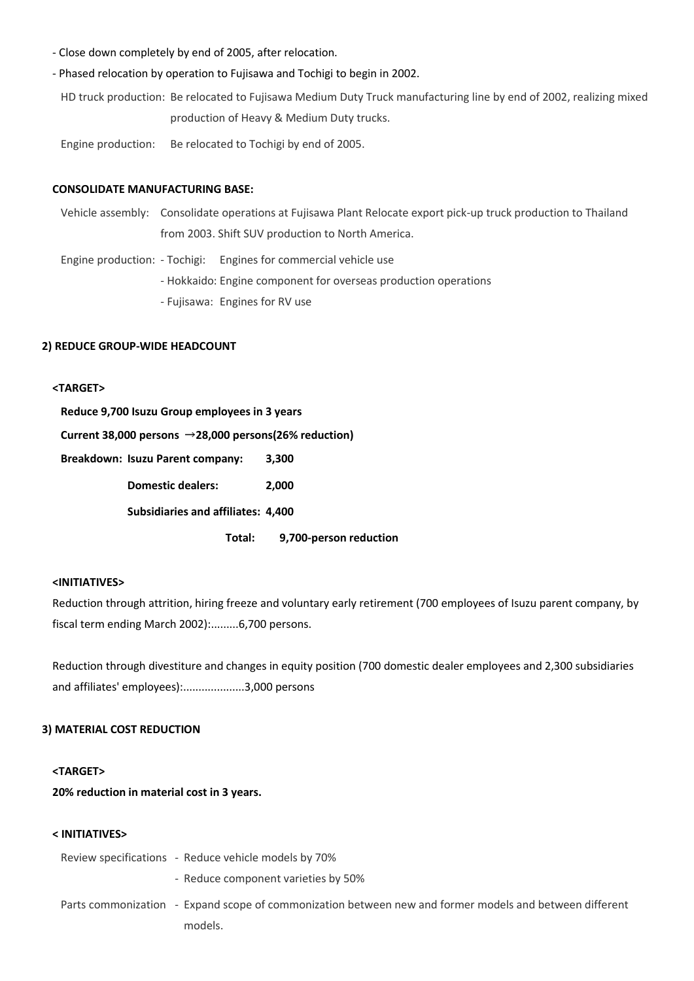- Close down completely by end of 2005, after relocation.
- Phased relocation by operation to Fujisawa and Tochigi to begin in 2002.

HD truck production: Be relocated to Fujisawa Medium Duty Truck manufacturing line by end of 2002, realizing mixed production of Heavy & Medium Duty trucks.

Engine production: Be relocated to Tochigi by end of 2005.

#### **CONSOLIDATE MANUFACTURING BASE:**

Vehicle assembly: Consolidate operations at Fujisawa Plant Relocate export pick-up truck production to Thailand from 2003. Shift SUV production to North America.

Engine production: - Tochigi: Engines for commercial vehicle use

- Hokkaido: Engine component for overseas production operations

- Fujisawa: Engines for RV use

### **2) REDUCE GROUP-WIDE HEADCOUNT**

## **<TARGET>**

**Reduce 9,700 Isuzu Group employees in 3 years**

**Current 38,000 persons 28,000 persons(26% reduction)**

**Breakdown: Isuzu Parent company: 3,300**

**Domestic dealers: 2,000**

**Subsidiaries and affiliates: 4,400**

**Total: 9,700-person reduction**

### **<INITIATIVES>**

Reduction through attrition, hiring freeze and voluntary early retirement (700 employees of Isuzu parent company, by fiscal term ending March 2002):.........6,700 persons.

Reduction through divestiture and changes in equity position (700 domestic dealer employees and 2,300 subsidiaries and affiliates' employees):....................3,000 persons

#### **3) MATERIAL COST REDUCTION**

## **<TARGET>**

**20% reduction in material cost in 3 years.**

## **< INITIATIVES>**

| Review specifications - Reduce vehicle models by 70%                                                    |
|---------------------------------------------------------------------------------------------------------|
| - Reduce component varieties by 50%                                                                     |
| Parts commonization - Expand scope of commonization between new and former models and between different |
| models.                                                                                                 |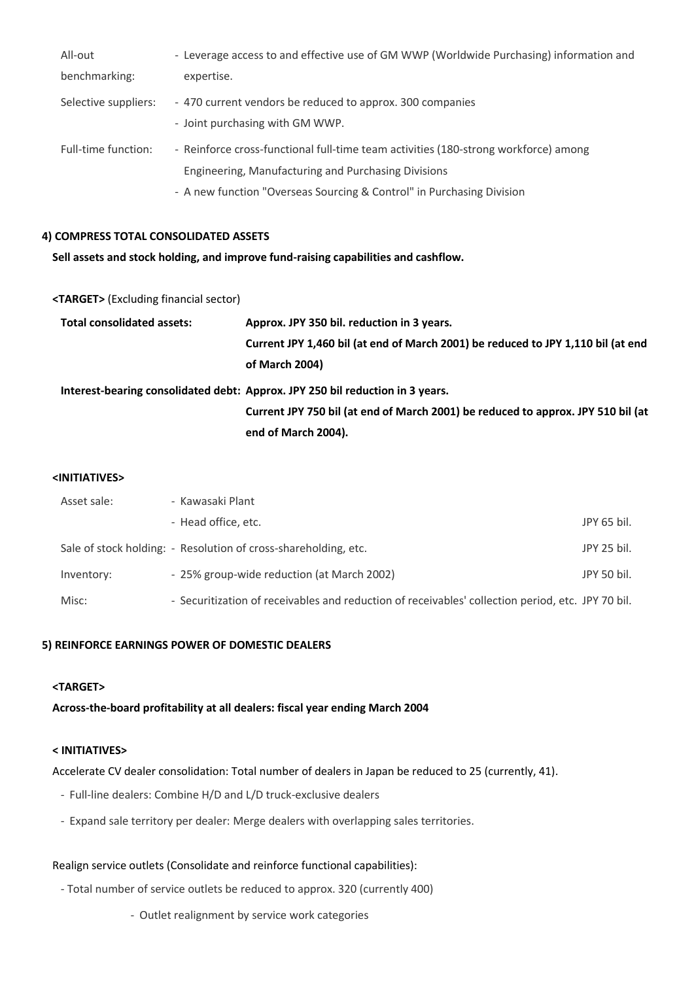| All-out              | - Leverage access to and effective use of GM WWP (Worldwide Purchasing) information and                                                                                                                             |
|----------------------|---------------------------------------------------------------------------------------------------------------------------------------------------------------------------------------------------------------------|
| benchmarking:        | expertise.                                                                                                                                                                                                          |
| Selective suppliers: | - 470 current vendors be reduced to approx. 300 companies<br>- Joint purchasing with GM WWP.                                                                                                                        |
| Full-time function:  | - Reinforce cross-functional full-time team activities (180-strong workforce) among<br>Engineering, Manufacturing and Purchasing Divisions<br>- A new function "Overseas Sourcing & Control" in Purchasing Division |

## **4) COMPRESS TOTAL CONSOLIDATED ASSETS**

**Sell assets and stock holding, and improve fund-raising capabilities and cashflow.**

## **<TARGET>** (Excluding financial sector)

| <b>Total consolidated assets:</b> | Approx. JPY 350 bil. reduction in 3 years.                                       |
|-----------------------------------|----------------------------------------------------------------------------------|
|                                   | Current JPY 1,460 bil (at end of March 2001) be reduced to JPY 1,110 bil (at end |
|                                   | of March 2004)                                                                   |
|                                   | Interest-bearing consolidated debt: Approx. JPY 250 bil reduction in 3 years.    |
|                                   | Current JPY 750 bil (at end of March 2001) be reduced to approx. JPY 510 bil (at |
|                                   | end of March 2004).                                                              |

## **<INITIATIVES>**

| Asset sale: | - Kawasaki Plant                                                                                  |             |
|-------------|---------------------------------------------------------------------------------------------------|-------------|
|             | - Head office, etc.                                                                               | JPY 65 bil. |
|             | Sale of stock holding: - Resolution of cross-shareholding, etc.                                   | JPY 25 bil. |
| Inventory:  | - 25% group-wide reduction (at March 2002)                                                        | JPY 50 bil. |
| Misc:       | - Securitization of receivables and reduction of receivables' collection period, etc. JPY 70 bil. |             |

## **5) REINFORCE EARNINGS POWER OF DOMESTIC DEALERS**

## **<TARGET>**

**Across-the-board profitability at all dealers: fiscal year ending March 2004**

## **< INITIATIVES>**

Accelerate CV dealer consolidation: Total number of dealers in Japan be reduced to 25 (currently, 41).

- Full-line dealers: Combine H/D and L/D truck-exclusive dealers
- Expand sale territory per dealer: Merge dealers with overlapping sales territories.

# Realign service outlets (Consolidate and reinforce functional capabilities):

- Total number of service outlets be reduced to approx. 320 (currently 400)
	- Outlet realignment by service work categories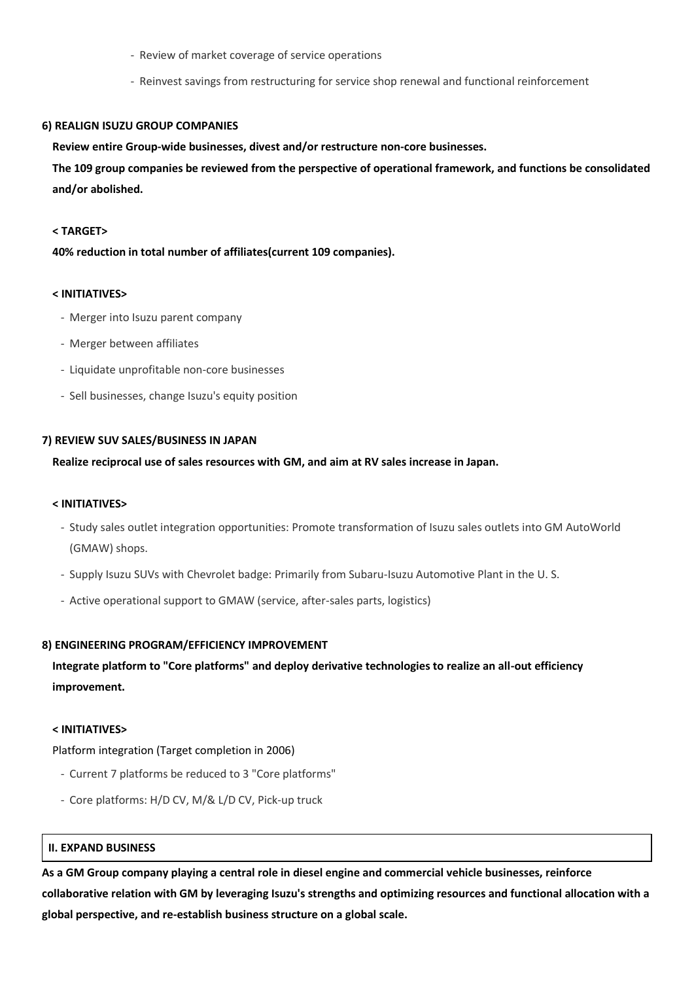- Review of market coverage of service operations
- Reinvest savings from restructuring for service shop renewal and functional reinforcement

#### **6) REALIGN ISUZU GROUP COMPANIES**

**Review entire Group-wide businesses, divest and/or restructure non-core businesses.**

**The 109 group companies be reviewed from the perspective of operational framework, and functions be consolidated and/or abolished.**

#### **< TARGET>**

**40% reduction in total number of affiliates(current 109 companies).**

#### **< INITIATIVES>**

- Merger into Isuzu parent company
- Merger between affiliates
- Liquidate unprofitable non-core businesses
- Sell businesses, change Isuzu's equity position

#### **7) REVIEW SUV SALES/BUSINESS IN JAPAN**

#### **Realize reciprocal use of sales resources with GM, and aim at RV sales increase in Japan.**

#### **< INITIATIVES>**

- Study sales outlet integration opportunities: Promote transformation of Isuzu sales outlets into GM AutoWorld (GMAW) shops.
- Supply Isuzu SUVs with Chevrolet badge: Primarily from Subaru-Isuzu Automotive Plant in the U. S.
- Active operational support to GMAW (service, after-sales parts, logistics)

#### **8) ENGINEERING PROGRAM/EFFICIENCY IMPROVEMENT**

# **Integrate platform to "Core platforms" and deploy derivative technologies to realize an all-out efficiency improvement.**

#### **< INITIATIVES>**

Platform integration (Target completion in 2006)

- Current 7 platforms be reduced to 3 "Core platforms"
- Core platforms: H/D CV, M/& L/D CV, Pick-up truck

## **II. EXPAND BUSINESS**

**As a GM Group company playing a central role in diesel engine and commercial vehicle businesses, reinforce collaborative relation with GM by leveraging Isuzu's strengths and optimizing resources and functional allocation with a global perspective, and re-establish business structure on a global scale.**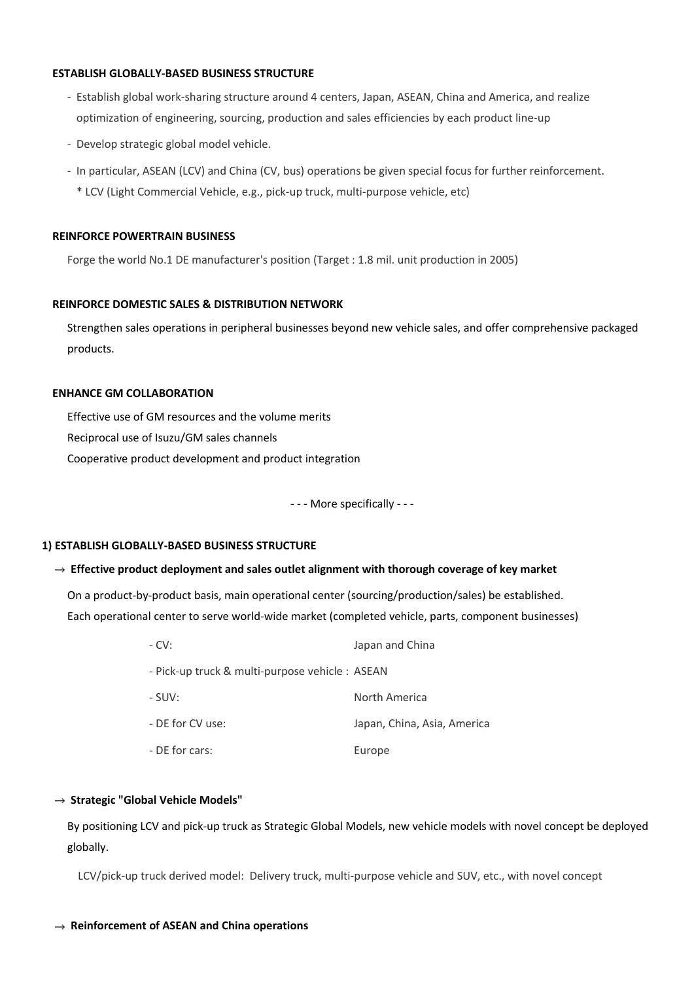## **ESTABLISH GLOBALLY-BASED BUSINESS STRUCTURE**

- Establish global work-sharing structure around 4 centers, Japan, ASEAN, China and America, and realize optimization of engineering, sourcing, production and sales efficiencies by each product line-up
- Develop strategic global model vehicle.
- In particular, ASEAN (LCV) and China (CV, bus) operations be given special focus for further reinforcement. \* LCV (Light Commercial Vehicle, e.g., pick-up truck, multi-purpose vehicle, etc)

### **REINFORCE POWERTRAIN BUSINESS**

Forge the world No.1 DE manufacturer's position (Target : 1.8 mil. unit production in 2005)

### **REINFORCE DOMESTIC SALES & DISTRIBUTION NETWORK**

Strengthen sales operations in peripheral businesses beyond new vehicle sales, and offer comprehensive packaged products.

## **ENHANCE GM COLLABORATION**

Effective use of GM resources and the volume merits Reciprocal use of Isuzu/GM sales channels Cooperative product development and product integration

- - - More specifically - - -

### **1) ESTABLISH GLOBALLY-BASED BUSINESS STRUCTURE**

### **Effective product deployment and sales outlet alignment with thorough coverage of key market**

On a product-by-product basis, main operational center (sourcing/production/sales) be established. Each operational center to serve world-wide market (completed vehicle, parts, component businesses)

| $-CV:$                                          | Japan and China             |
|-------------------------------------------------|-----------------------------|
| - Pick-up truck & multi-purpose vehicle : ASEAN |                             |
| - SUV:                                          | North America               |
| - DE for CV use:                                | Japan, China, Asia, America |
| - DE for cars:                                  | Europe                      |

### **Strategic "Global Vehicle Models"**

By positioning LCV and pick-up truck as Strategic Global Models, new vehicle models with novel concept be deployed globally.

LCV/pick-up truck derived model: Delivery truck, multi-purpose vehicle and SUV, etc., with novel concept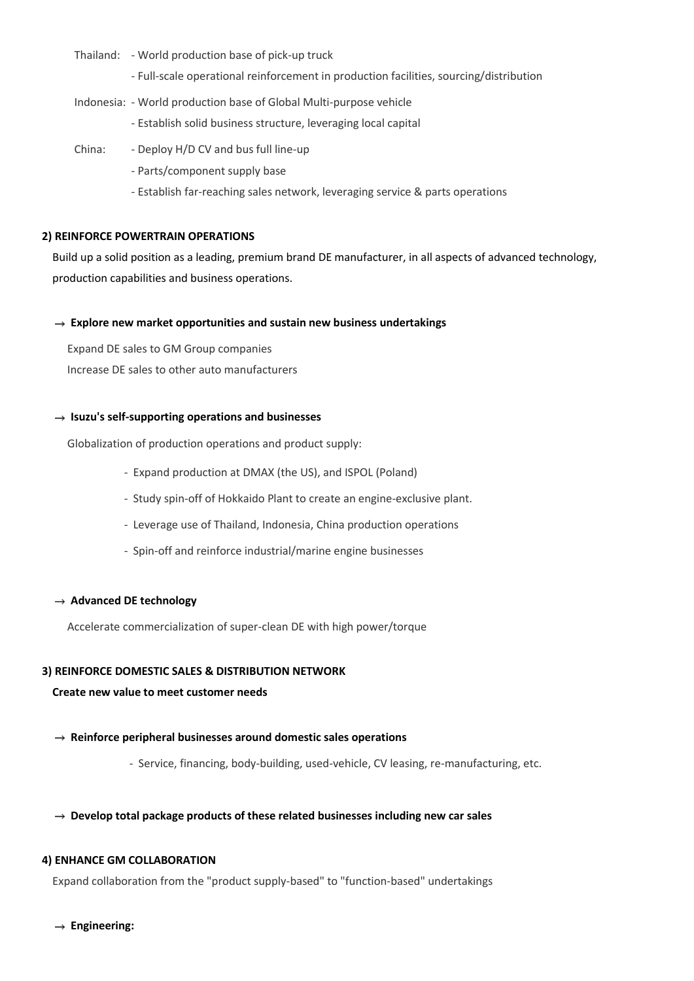- Thailand: World production base of pick-up truck
	- Full-scale operational reinforcement in production facilities, sourcing/distribution
- Indonesia: World production base of Global Multi-purpose vehicle
	- Establish solid business structure, leveraging local capital
- China: Deploy H/D CV and bus full line-up
	- Parts/component supply base
	- Establish far-reaching sales network, leveraging service & parts operations

### **2) REINFORCE POWERTRAIN OPERATIONS**

Build up a solid position as a leading, premium brand DE manufacturer, in all aspects of advanced technology, production capabilities and business operations.

### **Explore new market opportunities and sustain new business undertakings**

Expand DE sales to GM Group companies Increase DE sales to other auto manufacturers

## **Isuzu's self-supporting operations and businesses**

Globalization of production operations and product supply:

- Expand production at DMAX (the US), and ISPOL (Poland)
- Study spin-off of Hokkaido Plant to create an engine-exclusive plant.
- Leverage use of Thailand, Indonesia, China production operations
- Spin-off and reinforce industrial/marine engine businesses

### → Advanced DE technology

Accelerate commercialization of super-clean DE with high power/torque

## **3) REINFORCE DOMESTIC SALES & DISTRIBUTION NETWORK**

### **Create new value to meet customer needs**

- **Reinforce peripheral businesses around domestic sales operations**
	- Service, financing, body-building, used-vehicle, CV leasing, re-manufacturing, etc.

### **Develop total package products of these related businesses including new car sales**

## **4) ENHANCE GM COLLABORATION**

Expand collaboration from the "product supply-based" to "function-based" undertakings

**Engineering:**